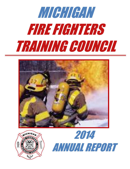# MICHIGAN FIRE FIGHTERS TRAINING COUNCIL





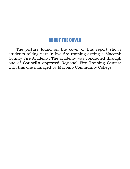## ABOUT THE COVER

The picture found on the cover of this report shows students taking part in live fire training during a Macomb County Fire Academy. The academy was conducted through one of Council's approved Regional Fire Training Centers with this one managed by Macomb Community College.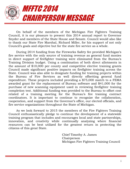

On behalf of the members of the Michigan Fire Fighters Training Council, it is our pleasure to present this 2014 annual report to Governor Snyder and members of the State House and Senate. Council would also like to thank our State Fire Marshal, Richard Miller, for his support of not only Council's goals and objective but for the state fire service as a whole.

During 2014 funding from the Fireworks Safety fee provided Michigan's fire service with the only source of training revenue as general fund monies in direct support of firefighter training were eliminated from the Bureau's Training Division budget. Using a combination of both direct allotments in the amount of \$10,000 per county and competitive elective training grants Council made significant positive impacts on firefighter training across the State. Council was also able to designate funding for training projects within the Bureau of Fire Services as well directly offsetting general fund expenditure. These projects included providing a \$75,000 match to a FEMA awarded grant for the replacement of Bureau software and \$41,000 for the purchase of new scanning equipment used in reviewing firefighter training completion test. Additional funding was provided to the Bureau to offset cost related of a training meeting for the Bureau's fire training contract coordinators. It is important to continue to recognize the collaboration, cooperation, and support from the Governor's office, our elected officials, and fire service organizations throughout the State of Michigan.

As we look forward to 2015 the members of the Fire Fighters Training Council enthusiastically pledge to continue the development of a statewide training program that includes and encourages local and state partnerships, innovation, and creativity while continually analyzing where financial resources can be best utilized for the greatest return in protecting the citizens of this great State.

> Chief Timothy A. James Chairperson Michigan Fire Fighters Training Council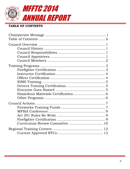

#### **TABLE OF CONTENTS**

| Curriculum Review Committee  10 |  |
|---------------------------------|--|
|                                 |  |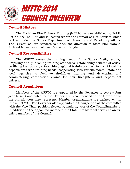

#### **Council History**

The Michigan Fire Fighters Training (MFFTC) was established by Public Act No. 291 of 1966 and is located within the Bureau of Fire Services which resides under the State's Department of Licensing and Regulatory Affairs. The Bureau of Fire Services is under the direction of State Fire Marshal Richard Miller, an appointee of Governor Snyder.

#### **Council Responsibilities**

The MFFTC serves the training needs of the State's firefighters by: Preparing and publishing training standards; establishing courses of study; certifying instructors; establishing regional training centers to assist local fire departments with training needs; cooperating with various federal, state and local agencies to facilitate firefighter training and developing and administering certification exams for new firefighters and department officers.

#### **Council Appointees**

Members of the MFFTC are appointed by the Governor to serve a four year term. Candidates for the Council are recommended to the Governor by the organization they represent. Member organizations are defined within Public Act 291. The Governor also appoints the Chairperson of the committee with the Vice Chair position elected by majority vote of the Councilmembers. In addition to the appointed members the State Fire Marshal serves as an exofficio member of the Council.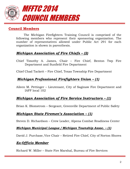

#### **Council Members**

The Michigan Firefighters Training Council is comprised of the following members who represent their sponsoring organization. The number of representatives allowed under Public Act 291 for each organization is shown in parenthesis.

#### *Michigan Association of Fire Chiefs – (2)*

- Chief Timothy A. James, Chair Fire Chief, Benton Twp Fire Department and Sunfield Fire Department
- Chief Chad Tackett Fire Chief, Texas Township Fire Department

#### *Michigan Professional Firefighters Union – (1)*

Aileen M. Pettinger – Lieutenant, City of Saginaw Fire Department and IAFF local 102

#### *Michigan Association of Fire Service Instructors – (1)*

Brian K. Blomstrom – Sergeant, Greenville Department of Public Safety

#### *Michigan State Firemen's Association – (1)*

Steven D. Richardson – Crew Leader, Alpena Combat Readiness Center

#### *Michigan Municipal League / Michigan Township Assoc. – (1)*

David J. Purchase, Vice Chair – Retired Fire Chief, City of Norton Shores

#### *Ex-Officio Member*

Richard W. Miller – State Fire Marshal, Bureau of Fire Services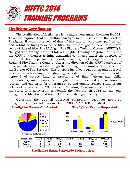

#### **Firefighter Certification**

The certification of firefighters is a requirement under Michigan PA 291. This law requires that all fulltime firefighters be certified to the level of Firefighter II within one year of date of hire and all part time, paid-on-call and volunteer firefighters be certified to the Firefighter I level within two years of date of hire. The Michigan Fire Fighters Training Council (MFFTC) is charged with oversight of the State's firefighter training program. To this end the MFFTC authorizes training academies conducted under the auspices of individual fire departments, county training/chiefs organizations and Regional Fire Training Centers. Under the direction of the MFFTC support of these activities is provided through the Fire Fighters Training Division within the Bureau of Fire Services. This support includes; registration and approval of classes, scheduling and shipping of video training course materials, approval of course funding, proctoring of final written and skills examinations, maintenance of firefighter, instructor and course training records, and site visits for program review and quality control. Much of our field work is provided by 23 contracted Training Coordinators located around the state. It is noteworthy to identify the fact that in 2014 at least one firefighter certification test was held in each Michigan county.

Currently, the Council approved curriculum used for approved firefighter training academies meets the 2008 NFPA 1001standard.

#### **Firefighter Exams Conducted Firefighter Exams Requested**



**X - Indicates Challenge Exam**



| Peninsula     | FF 1 | FF II | FF I. II | FF I X | FF II X | <b>I.II X</b><br>FF | <b>TOTALS</b> |
|---------------|------|-------|----------|--------|---------|---------------------|---------------|
| Upper         | Ω    | 16    | 35       |        |         | 10                  | 84            |
| Lower         |      |       | 65       |        | 12      | 13                  | 101           |
| <b>TOTALS</b> | 14   | 22    | 100      |        | 19      | 23                  | 185           |

#### **Firefighter Exam Statewide Distribution**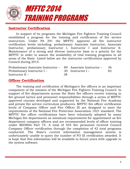

#### **Instructor Certification**

In support of its programs the Michigan Fire Fighters Training Council established a program for the training and certification of fire service instructors. Under PA 291 the MFFTC approves all fire instructor certification levels including; probationary Associate Instructor, Associate Instructor, probationary Instructor I, Instructor I and Instructor II. Maintenance of a strong and diverse instructor base is a priority for the MFFTC in order to assure the availability of vital training programs in all areas of the State. Listed below are the instructor certifications approved by Council during 2014.

| Probationary Associate Instructor – 89 Associate Instructor – |     |                   | - 36 |
|---------------------------------------------------------------|-----|-------------------|------|
| Probationary Instructor I –                                   |     | 30 Instructor I – | 82   |
| Instructor $II -$                                             | -38 |                   |      |

#### **Officer Certification**

The training and certification of Michigan's fire officers is an important component of the mission of the Michigan Fire Fighters Training Council. In support of fire departments across the State fire officers receive training in fire ground tactics and personnel responsibilities through a series of MFFTC approved courses developed and supported by the National Fire Academy and private fire service curriculum producers. MFFTC fire officer certification levels of Company Officer and Fire Officer III are designed to meet the requirements of the National Fire Protection Association 1021 standard. The MFFTC fire officer certifications have been voluntarily adopted by many Michigan fire departments as minimum requirements for appointment as fire department company officers and are recommended levels of officer training under MIOSHA Part 74. A total of 545 fire personnel received Council Company Officer certification through the completion of 42 total programs conducted. The State's current information management system is unfortunately unable to query the number of FO III certification awarded. It is hope that this information will be available in future years with upgrade to the system software.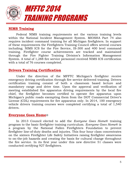

#### **NIMS Training**

Federal NIMS training requirements set the various training levels within the National Incident Management System. MIOSHA Part 74 also requires incident command training for all Michigan firefighters. In support of these requirements the Firefighters Training Council offers several courses including; NIMS ICS for the Fire Service, IS-300 and 400 level command training. Firefighter course achievements are tracked and maintained through the Fire Fighter Training Division's Information Management System. A total of 1,288 fire service personnel received NIMS ICS certification with a total of 76 courses completed.

#### **Drivers Training Certification**

Under the direction of the MFFTC Michigan's firefighter receive emergency driving certification through fire service delivered training. Drivers certification training consist of both a classroom based lecture and mandatory range and drive time. Upon the approval and verification of meeting established fire apparatus driving requirements by the local fire chief, the firefighter becomes certified to operate fire apparatus upon Michigan's public roads exempting them from the DOT Commercial Driver's License (CDL) requirements for fire apparatus only. In 2014, 100 emergency vehicle drivers training courses were completed certifying a total of 1,540 drivers.

#### **Everyone Goes Home***®*

In 2013 Council elected to add the *Everyone Goes Home®* training program to the basic firefighter training curriculum. *Everyone Goes Home®* is a program by the [National Fallen Firefighters Foundation](http://www.firehero.org/) to prevent firefighter line-of-duty deaths and injuries. This four hour class concentrates on the sixteen Firefighter Life Safety Initiatives raising firefighter awareness to on-the-job hazards and creating the basis for cultural change throughout the fire service. In its first year under this new directive 51 classes were conducted certifying 927 firefighters.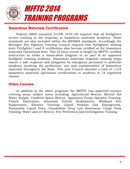

#### **Hazardous Materials Certification**

Federal OSHA standard 21CFR 1910.120 requires that all firefighters receive training in the response to hazardous materials incidents. These standards are also included within the MIOSHA standards. Accordingly the Michigan Fire Fighters Training Council requires that firefighters seeking state Firefighter I and II certification also become certified at the hazardous materials Operational level. This 24 hour course is taught by MFFTC certified instructors as either a stand-alone program or as part of an approved firefighter training academy. Hazardous materials response training helps assure a safe response and mitigation by emergency personnel to potential incidents involving the production, use and transportation of hazardous materials throughout the State. This year Council awarded a total of 1,319 hazardous materials operations certifications to students in 74 registered classes.

#### **Other Courses**

In addition to the above programs the MFFTC has approved courses covering many subject areas including: Agricultural Rescue, Mutual Aid Water Supply, Confined Space Rescue, Apparatus Pump Operator Training, Vehicle Extrication, Advanced Vehicle Stabilization, Wildland Fire Suppression, Elevator Training, Liquid Propane Gas Emergencies, Flammable Liquid Fires, Clandestine Drug Lab Awareness, Cargo Tank Training, Water and Ice Rescue, Fire Prevention and Investigation Training.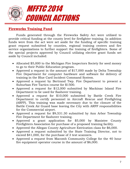

#### **Fireworks Training Fund**

Funds generated through the Fireworks Safety Act were utilized to provide critical funding at the county level for firefighter training. In addition funds were from the act were set aside for the funding of specific training grant request submitted by counties, regional training centers and fire service organizations to further support the training of firefighters. Some of the special projects approved by Council utilizing elective grant funds set aside by Council included:

- Allocated \$5,000 to the Michigan Fire Inspectors Society for seed money to go to their Public Education program.
- Approved a request in the amount of \$17,000 made by Delta Township Fire Department for computer hardware and software for delivery of training in the Blue Card Incident Command System.
- Approved a request by Bertrand Twp. Fire Department to present a Suburban Fire Tactics course for \$1500.
- Approved a request for \$12,000 submitted by Mackinac Island Fire Department to be used for flashover training.
- Approved a request for \$10,000 submitted by Battle Creek Fire Department to certify personnel in Aircraft Rescue and Firefighting (ARFF). This training was made necessary due to the closure of the Battle Creek Air Guard base leaving the City with ARFF responsibilities for the Commercial airport.
- Approved a request for \$9,531.30 submitted by Ann Arbor Township Fire Department for flashover training.
- Approved a grant application for \$5,000 by Manistee County Firefighters Association for purchase of a proposed training facility.
- Approved the Allegan County Agriculture Extrication class for \$6,000.
- Approved a request submitted by the State Training Director, not to exceed \$41,000, for the purchase of 3 test scanners.
- Approved a request from Macomb Community College for the 40 hour fire equipment operator course in the amount of \$6,000.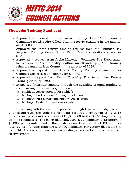

#### **Fireworks Training Fund cont.**

- Approved a request by Kalamazoo County Fire Chief Training Committee for Live Fire Officer Training for 40 students in the amount of \$10,000.
- Approved the three county funding request from the Thunder Bay Regional Training Center for a Farm Rescue Operations Class for \$7,500.
- Approved a request from Alpha-Mastodon Volunteer Fire Department for Leadership, Accountability, Culture and Knowledge (LACK) training reimbursement in Iron County in the amount of \$639.
- Approved a request from Oceana County Training Committee for Confined Space Rescue Training for \$1,440.
- Approved a request from Alcona Township Fire for a Water Rescue Training class for \$780.
- Supported firefighter training through the awarding of grant funding to the following fire service organizations:
	- o Michigan Association of Fire Chiefs
	- o Michigan Professional Fire Fighters Union
	- o Michigan Fire Service Instructors Association
	- o Michigan State Fireman's Association

In keeping with the wishes expressed through legislative budget action, Council approved the budget boiler plate required distribution of FY 2015 firework safety fees in the amount of \$1,000,000 to the 83 Michigan county training committees. The boiler plate language set a minimum distribution of \$5,000 per county. Under this distribution formula 61 of 83 counties received less funding than the \$10,000 minimum per county distributed in FY 2014. Additionally there was no funding available for Council approved elective grants.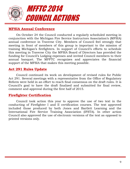

#### **MFSIA Annual Conference**

On October 24 the Council conducted a regularly scheduled meeting in conjunction with the Michigan Fire Service Instructors Association's (MFSIA) annual conference in Traverse City. Members of Council feel strongly that meeting in front of members of this group is important to the mission of training Michigan's firefighters. In support of Council's efforts to schedule this meeting in Traverse City the MFSIA Board of Directors has provided the funding for Council's Lodging expenses and invited Council members to their annual banquet. The MFFTC recognizes and appreciates the financial support of the MFSIA that makes this meeting possible.

#### **Act 291 Rules Update**

Council continued its work on development of revised rules for Public Act 291. Several meetings with a representative from the Office of Regulatory Reform were held in an effort to reach final consensus on the draft rules. It is Council's goal to have the draft finalized and submitted for final review, comment and approval during the first half of 2015.

#### **Firefighter Certification**

Council took action this year to approve the use of two text in the conducting of Firefighter I and II certification courses. The text approved included those produced by both Jones and Bartlett Learning and the International Fire Service Training Association (IFSTA). In other action Council also approved the use of electronic versions of the text as opposed to printed versions only.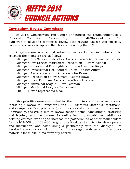

#### **Curriculum Review Committee**

In 2013, Chairperson Tim James announced the establishment of a Curriculum Committee in Traverse City during the MFSIA Conference. The plan was to have the committee review both regular classes and specialty courses, and work to update the classes offered by the FFTD.

Organizations represented submitted names for two individuals to be selected; the members are as follows:

Michigan Fire Service Instructors Association – Brian Blomstrom (Chair) Michigan Fire Service Instructors Association – Ray Wlosinski Michigan Professional Fire Fighters Union – Aileen Pettinger Michigan Professional Fire Fighters Union – Shaun Abbey Michigan Association of Fire Chiefs – John Kramer Michigan Association of Fire Chiefs – Blaine Howell Michigan State Firemans Association – Terry Blackmer Michigan Municipal League - Dave Peterson Michigan Municipal League - Dan Oberst The FFTD was represented also.

Five priorities were established for the group to start the review process, including a review of Firefighter I and II, Hazardous Materials Operations, and Company Officer programs (both the curriculum and testing processes). Additionally, the group met to review specific items, consisting of reviewing and issuing recommendations for online learning capabilities, adding or deleting courses, working to increase the partnerships of other stakeholders for the ICS-300 and ICS-400 programs as it relates to instructor development and instruction, and establishing a partnership with the Michigan Fire Service Instructors Association to build a storage database of all instructor materials for curriculums currently offered.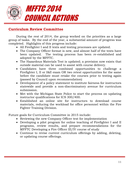

### **Curriculum Review Committee**

During the rest of 2014, the group worked on the priorities as a large group of tasks. By the end of the year, a substantial amount of progress was completed. Highlights of this progress include:

- All Firefighter I and II texts and testing processes are updated.
- The Company Officer format is new, and almost half of the texts have been updated. The testing process has been re-established and adopted by the MFFTC.
- The Hazardous Materials Test is updated; a provision now exists that outside material can be used to assist with course delivery.
- Candidates have three combined opportunities to challenge a Firefighter I, II or I&II exam OR two retest opportunities for the same before the candidate must retake the courses prior to testing again (passed by Council upon recommendation)
- Development of a policy statement to institute fairness for instructors statewide and provide a non-discriminatory avenue for curriculum submission.
- Met with the Michigan State Police to start the process on updating instructor qualifications for ICS 300/400.
- Established an online site for instructors to download course materials, reducing the workload for office personnel within the Fire Fighter Training Division.

Future goals for Curriculum Committee in 2015 include:

- Reviewing the new Company Officer test for implementation
- Developing a pilot program for online teaching of Firefighter I and II programs, review results, and prepare recommendations for the MFFTC Developing a Fire Officer III/IV course of study
- Continue to revise current curriculum offerings by adding, deleting, or updating course offerings.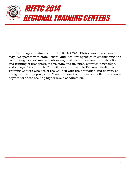

Language contained within Public Act 291, 1966 states that Council may, "Cooperate with state, federal and local fire agencies in establishing and conducting local or area schools or regional training centers for instruction and training of firefighters of this state and its cities, counties, townships, and villages." Accordingly Council has authorized 16 Regional Firefighter Training Centers who assist the Council with the promotion and delivery of firefighter training programs. Many of these institutions also offer fire science degrees for those seeking higher levels of education.